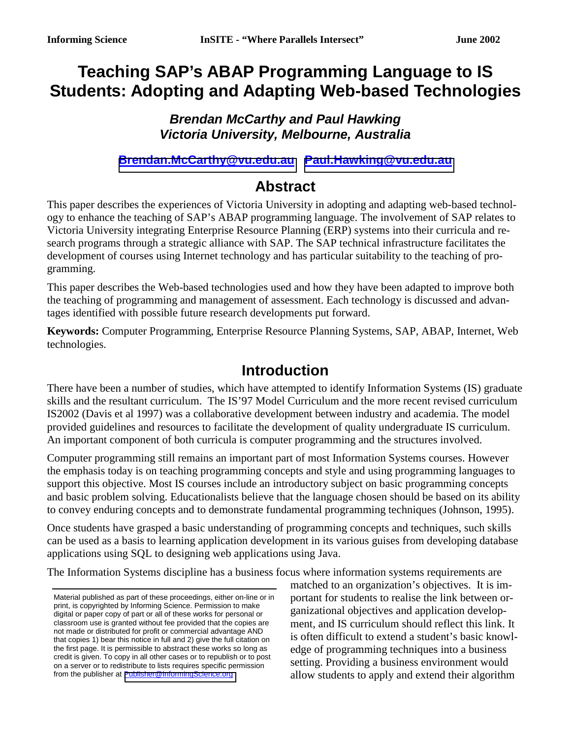# **Teaching SAP's ABAP Programming Language to IS Students: Adopting and Adapting Web-based Technologies**

#### *Brendan McCarthy and Paul Hawking Victoria University, Melbourne, Australia*

**[Brendan.McCarthy@vu.edu.au](mailto:Brendan.McCarthy@vu.edu.au) [Paul.Hawking@vu.edu.au](mailto:Paul.Hawking@vu.edu.au)** 

#### **Abstract**

This paper describes the experiences of Victoria University in adopting and adapting web-based technology to enhance the teaching of SAP's ABAP programming language. The involvement of SAP relates to Victoria University integrating Enterprise Resource Planning (ERP) systems into their curricula and research programs through a strategic alliance with SAP. The SAP technical infrastructure facilitates the development of courses using Internet technology and has particular suitability to the teaching of programming.

This paper describes the Web-based technologies used and how they have been adapted to improve both the teaching of programming and management of assessment. Each technology is discussed and advantages identified with possible future research developments put forward.

**Keywords:** Computer Programming, Enterprise Resource Planning Systems, SAP, ABAP, Internet, Web technologies.

#### **Introduction**

There have been a number of studies, which have attempted to identify Information Systems (IS) graduate skills and the resultant curriculum. The IS'97 Model Curriculum and the more recent revised curriculum IS2002 (Davis et al 1997) was a collaborative development between industry and academia. The model provided guidelines and resources to facilitate the development of quality undergraduate IS curriculum. An important component of both curricula is computer programming and the structures involved.

Computer programming still remains an important part of most Information Systems courses. However the emphasis today is on teaching programming concepts and style and using programming languages to support this objective. Most IS courses include an introductory subject on basic programming concepts and basic problem solving. Educationalists believe that the language chosen should be based on its ability to convey enduring concepts and to demonstrate fundamental programming techniques (Johnson, 1995).

Once students have grasped a basic understanding of programming concepts and techniques, such skills can be used as a basis to learning application development in its various guises from developing database applications using SQL to designing web applications using Java.

The Information Systems discipline has a business focus where information systems requirements are

matched to an organization's objectives. It is important for students to realise the link between organizational objectives and application development, and IS curriculum should reflect this link. It is often difficult to extend a student's basic knowledge of programming techniques into a business setting. Providing a business environment would allow students to apply and extend their algorithm

Material published as part of these proceedings, either on-line or in print, is copyrighted by Informing Science. Permission to make digital or paper copy of part or all of these works for personal or classroom use is granted without fee provided that the copies are not made or distributed for profit or commercial advantage AND that copies 1) bear this notice in full and 2) give the full citation on the first page. It is permissible to abstract these works so long as credit is given. To copy in all other cases or to republish or to post on a server or to redistribute to lists requires specific permission from the publisher at [Publisher@InformingScience.org](mailto:Publisher@InformingScience.org)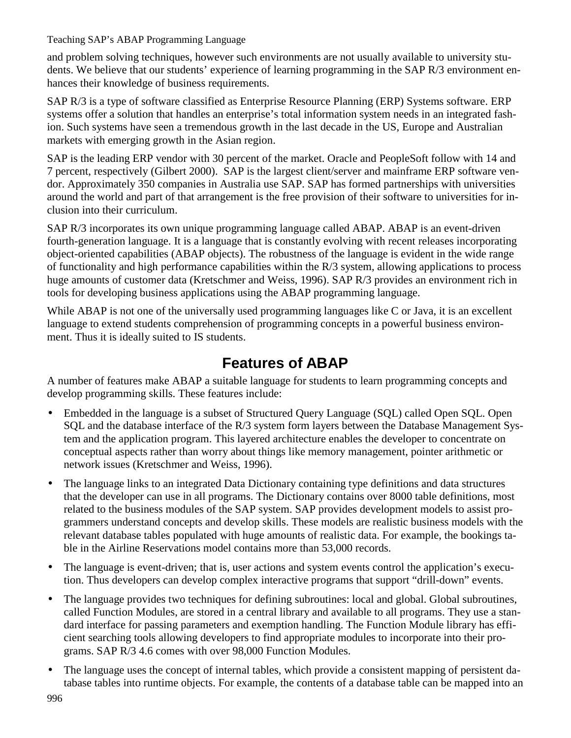Teaching SAP's ABAP Programming Language

and problem solving techniques, however such environments are not usually available to university students. We believe that our students' experience of learning programming in the SAP R/3 environment enhances their knowledge of business requirements.

SAP R/3 is a type of software classified as Enterprise Resource Planning (ERP) Systems software. ERP systems offer a solution that handles an enterprise's total information system needs in an integrated fashion. Such systems have seen a tremendous growth in the last decade in the US, Europe and Australian markets with emerging growth in the Asian region.

SAP is the leading ERP vendor with 30 percent of the market. Oracle and PeopleSoft follow with 14 and 7 percent, respectively (Gilbert 2000). SAP is the largest client/server and mainframe ERP software vendor. Approximately 350 companies in Australia use SAP. SAP has formed partnerships with universities around the world and part of that arrangement is the free provision of their software to universities for inclusion into their curriculum.

SAP R/3 incorporates its own unique programming language called ABAP. ABAP is an event-driven fourth-generation language. It is a language that is constantly evolving with recent releases incorporating object-oriented capabilities (ABAP objects). The robustness of the language is evident in the wide range of functionality and high performance capabilities within the R/3 system, allowing applications to process huge amounts of customer data (Kretschmer and Weiss, 1996). SAP R/3 provides an environment rich in tools for developing business applications using the ABAP programming language.

While ABAP is not one of the universally used programming languages like C or Java, it is an excellent language to extend students comprehension of programming concepts in a powerful business environment. Thus it is ideally suited to IS students.

# **Features of ABAP**

A number of features make ABAP a suitable language for students to learn programming concepts and develop programming skills. These features include:

- Embedded in the language is a subset of Structured Query Language (SOL) called Open SOL. Open SQL and the database interface of the R/3 system form layers between the Database Management System and the application program. This layered architecture enables the developer to concentrate on conceptual aspects rather than worry about things like memory management, pointer arithmetic or network issues (Kretschmer and Weiss, 1996).
- The language links to an integrated Data Dictionary containing type definitions and data structures that the developer can use in all programs. The Dictionary contains over 8000 table definitions, most related to the business modules of the SAP system. SAP provides development models to assist programmers understand concepts and develop skills. These models are realistic business models with the relevant database tables populated with huge amounts of realistic data. For example, the bookings table in the Airline Reservations model contains more than 53,000 records.
- The language is event-driven; that is, user actions and system events control the application's execution. Thus developers can develop complex interactive programs that support "drill-down" events.
- The language provides two techniques for defining subroutines: local and global. Global subroutines, called Function Modules, are stored in a central library and available to all programs. They use a standard interface for passing parameters and exemption handling. The Function Module library has efficient searching tools allowing developers to find appropriate modules to incorporate into their programs. SAP R/3 4.6 comes with over 98,000 Function Modules.
- The language uses the concept of internal tables, which provide a consistent mapping of persistent database tables into runtime objects. For example, the contents of a database table can be mapped into an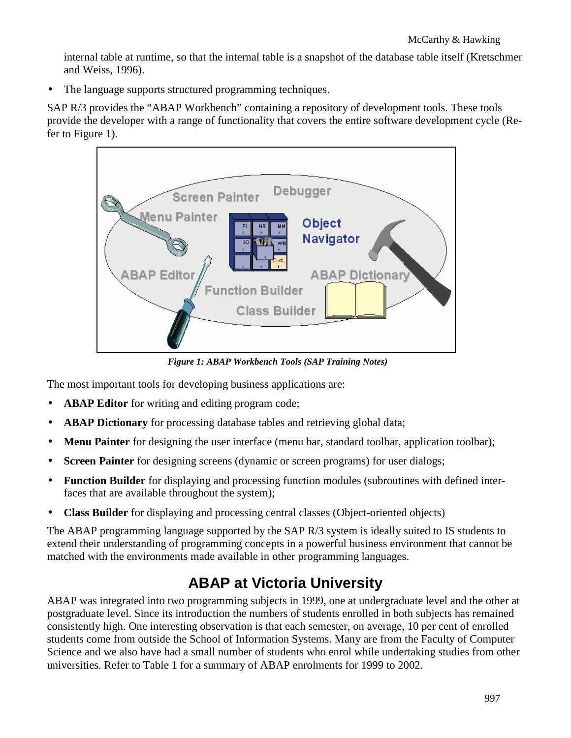internal table at runtime, so that the internal table is a snapshot of the database table itself (Kretschmer and Weiss, 1996).

• The language supports structured programming techniques.

SAP R/3 provides the "ABAP Workbench" containing a repository of development tools. These tools provide the developer with a range of functionality that covers the entire software development cycle (Refer to Figure 1).



*Figure 1: ABAP Workbench Tools (SAP Training Notes)* 

The most important tools for developing business applications are:

- **ABAP Editor** for writing and editing program code;
- **ABAP Dictionary** for processing database tables and retrieving global data;
- **Menu Painter** for designing the user interface (menu bar, standard toolbar, application toolbar);
- **Screen Painter** for designing screens (dynamic or screen programs) for user dialogs;
- **Function Builder** for displaying and processing function modules (subroutines with defined interfaces that are available throughout the system);
- **Class Builder** for displaying and processing central classes (Object-oriented objects)

The ABAP programming language supported by the SAP R/3 system is ideally suited to IS students to extend their understanding of programming concepts in a powerful business environment that cannot be matched with the environments made available in other programming languages.

# **ABAP at Victoria University**

ABAP was integrated into two programming subjects in 1999, one at undergraduate level and the other at postgraduate level. Since its introduction the numbers of students enrolled in both subjects has remained consistently high. One interesting observation is that each semester, on average, 10 per cent of enrolled students come from outside the School of Information Systems. Many are from the Faculty of Computer Science and we also have had a small number of students who enrol while undertaking studies from other universities. Refer to Table 1 for a summary of ABAP enrolments for 1999 to 2002.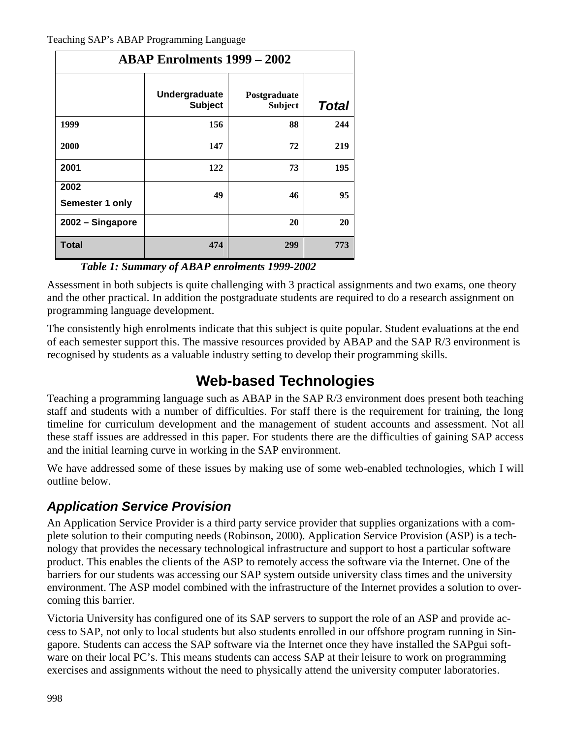| <b>ABAP Enrolments 1999 - 2002</b> |                                 |                                |              |
|------------------------------------|---------------------------------|--------------------------------|--------------|
|                                    | Undergraduate<br><b>Subject</b> | Postgraduate<br><b>Subject</b> | <b>Total</b> |
| 1999                               | 156                             | 88                             | 244          |
| 2000                               | 147                             | 72                             | 219          |
| 2001                               | 122                             | 73                             | 195          |
| 2002<br>Semester 1 only            | 49                              | 46                             | 95           |
| 2002 - Singapore                   |                                 | 20                             | 20           |
| <b>Total</b>                       | 474                             | 299                            | 773          |

*Table 1: Summary of ABAP enrolments 1999-2002* 

Assessment in both subjects is quite challenging with 3 practical assignments and two exams, one theory and the other practical. In addition the postgraduate students are required to do a research assignment on programming language development.

The consistently high enrolments indicate that this subject is quite popular. Student evaluations at the end of each semester support this. The massive resources provided by ABAP and the SAP R/3 environment is recognised by students as a valuable industry setting to develop their programming skills.

# **Web-based Technologies**

Teaching a programming language such as ABAP in the SAP R/3 environment does present both teaching staff and students with a number of difficulties. For staff there is the requirement for training, the long timeline for curriculum development and the management of student accounts and assessment. Not all these staff issues are addressed in this paper. For students there are the difficulties of gaining SAP access and the initial learning curve in working in the SAP environment.

We have addressed some of these issues by making use of some web-enabled technologies, which I will outline below.

#### *Application Service Provision*

An Application Service Provider is a third party service provider that supplies organizations with a complete solution to their computing needs (Robinson, 2000). Application Service Provision (ASP) is a technology that provides the necessary technological infrastructure and support to host a particular software product. This enables the clients of the ASP to remotely access the software via the Internet. One of the barriers for our students was accessing our SAP system outside university class times and the university environment. The ASP model combined with the infrastructure of the Internet provides a solution to overcoming this barrier.

Victoria University has configured one of its SAP servers to support the role of an ASP and provide access to SAP, not only to local students but also students enrolled in our offshore program running in Singapore. Students can access the SAP software via the Internet once they have installed the SAPgui software on their local PC's. This means students can access SAP at their leisure to work on programming exercises and assignments without the need to physically attend the university computer laboratories.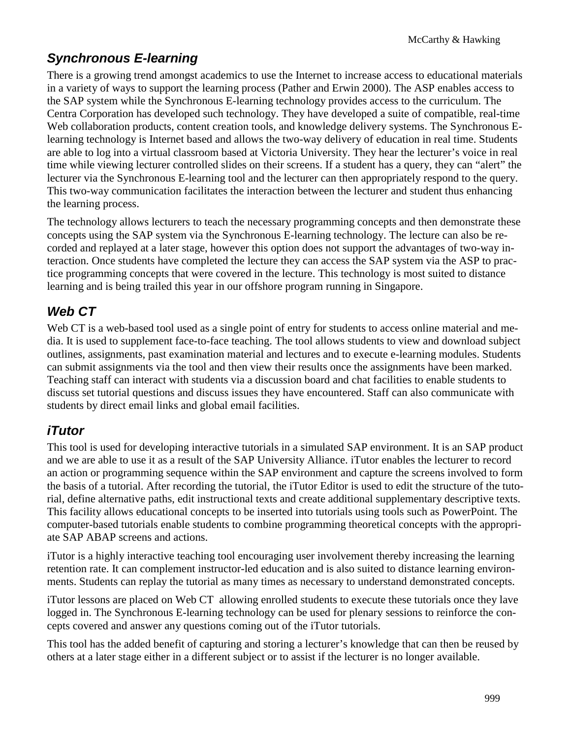### *Synchronous E-learning*

There is a growing trend amongst academics to use the Internet to increase access to educational materials in a variety of ways to support the learning process (Pather and Erwin 2000). The ASP enables access to the SAP system while the Synchronous E-learning technology provides access to the curriculum. The Centra Corporation has developed such technology. They have developed a suite of compatible, real-time Web collaboration products, content creation tools, and knowledge delivery systems. The Synchronous Elearning technology is Internet based and allows the two-way delivery of education in real time. Students are able to log into a virtual classroom based at Victoria University. They hear the lecturer's voice in real time while viewing lecturer controlled slides on their screens. If a student has a query, they can "alert" the lecturer via the Synchronous E-learning tool and the lecturer can then appropriately respond to the query. This two-way communication facilitates the interaction between the lecturer and student thus enhancing the learning process.

The technology allows lecturers to teach the necessary programming concepts and then demonstrate these concepts using the SAP system via the Synchronous E-learning technology. The lecture can also be recorded and replayed at a later stage, however this option does not support the advantages of two-way interaction. Once students have completed the lecture they can access the SAP system via the ASP to practice programming concepts that were covered in the lecture. This technology is most suited to distance learning and is being trailed this year in our offshore program running in Singapore.

### *Web CT*

Web CT is a web-based tool used as a single point of entry for students to access online material and media. It is used to supplement face-to-face teaching. The tool allows students to view and download subject outlines, assignments, past examination material and lectures and to execute e-learning modules. Students can submit assignments via the tool and then view their results once the assignments have been marked. Teaching staff can interact with students via a discussion board and chat facilities to enable students to discuss set tutorial questions and discuss issues they have encountered. Staff can also communicate with students by direct email links and global email facilities.

#### *iTutor*

This tool is used for developing interactive tutorials in a simulated SAP environment. It is an SAP product and we are able to use it as a result of the SAP University Alliance. iTutor enables the lecturer to record an action or programming sequence within the SAP environment and capture the screens involved to form the basis of a tutorial. After recording the tutorial, the iTutor Editor is used to edit the structure of the tutorial, define alternative paths, edit instructional texts and create additional supplementary descriptive texts. This facility allows educational concepts to be inserted into tutorials using tools such as PowerPoint. The computer-based tutorials enable students to combine programming theoretical concepts with the appropriate SAP ABAP screens and actions.

iTutor is a highly interactive teaching tool encouraging user involvement thereby increasing the learning retention rate. It can complement instructor-led education and is also suited to distance learning environments. Students can replay the tutorial as many times as necessary to understand demonstrated concepts.

iTutor lessons are placed on Web CT allowing enrolled students to execute these tutorials once they lave logged in. The Synchronous E-learning technology can be used for plenary sessions to reinforce the concepts covered and answer any questions coming out of the iTutor tutorials.

This tool has the added benefit of capturing and storing a lecturer's knowledge that can then be reused by others at a later stage either in a different subject or to assist if the lecturer is no longer available.